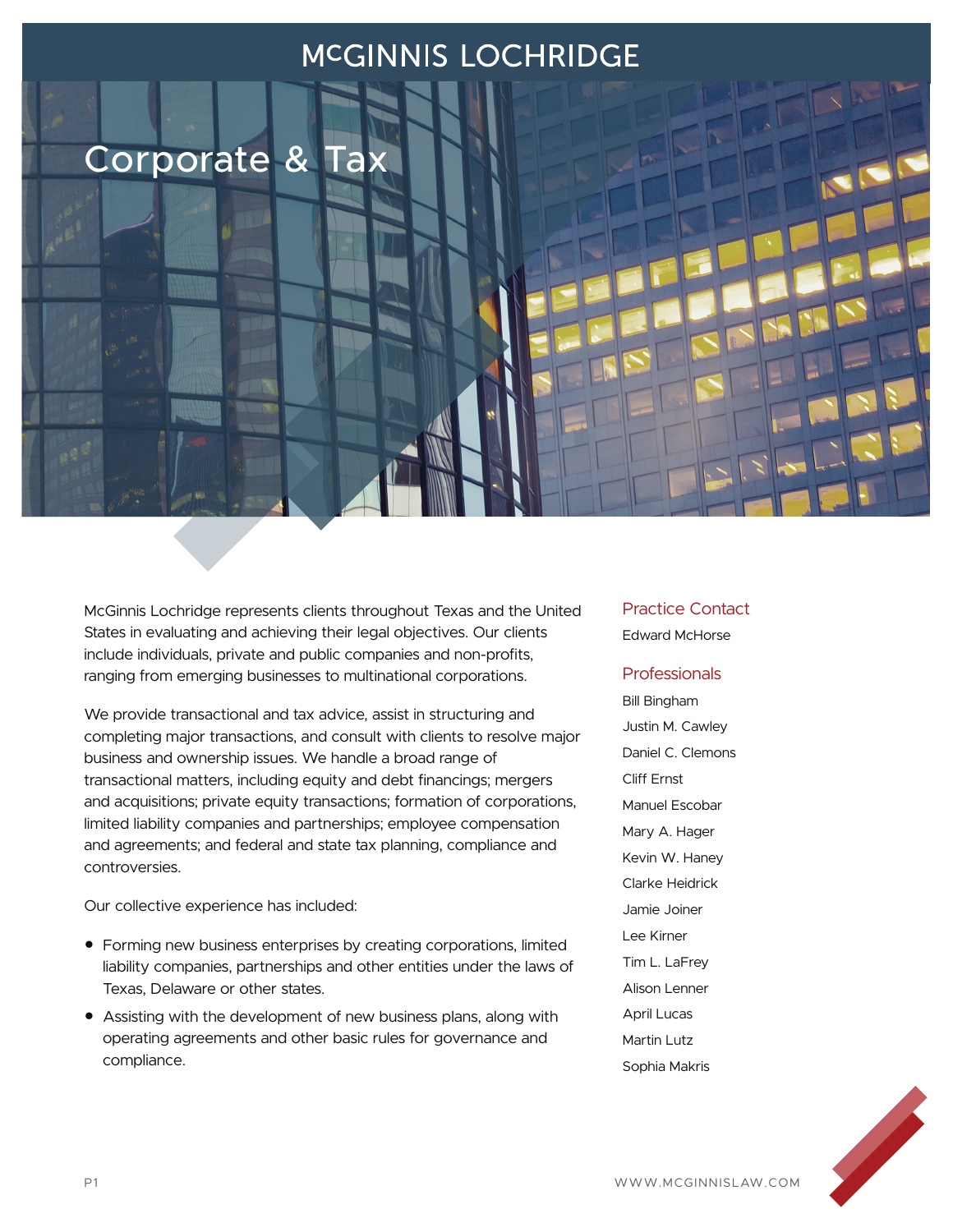## MCGINNIS LOCHRIDGE

Corporate & Tax

McGinnis Lochridge represents clients throughout Texas and the United States in evaluating and achieving their legal objectives. Our clients include individuals, private and public companies and non-profits, ranging from emerging businesses to multinational corporations.

We provide transactional and tax advice, assist in structuring and completing major transactions, and consult with clients to resolve major business and ownership issues. We handle a broad range of transactional matters, including equity and debt financings; mergers and acquisitions; private equity transactions; formation of corporations, limited liability companies and partnerships; employee compensation and agreements; and federal and state tax planning, compliance and controversies.

Our collective experience has included:

- Forming new business enterprises by creating corporations, limited liability companies, partnerships and other entities under the laws of Texas, Delaware or other states.
- Assisting with the development of new business plans, along with operating agreements and other basic rules for governance and compliance.

### Practice Contact

Edward McHorse

#### Professionals

Bill Bingham Justin M. Cawley Daniel C. Clemons Cliff Ernst Manuel Escobar Mary A. Hager Kevin W. Haney Clarke Heidrick Jamie Joiner Lee Kirner Tim L. LaFrey Alison Lenner April Lucas Martin Lutz Sophia Makris

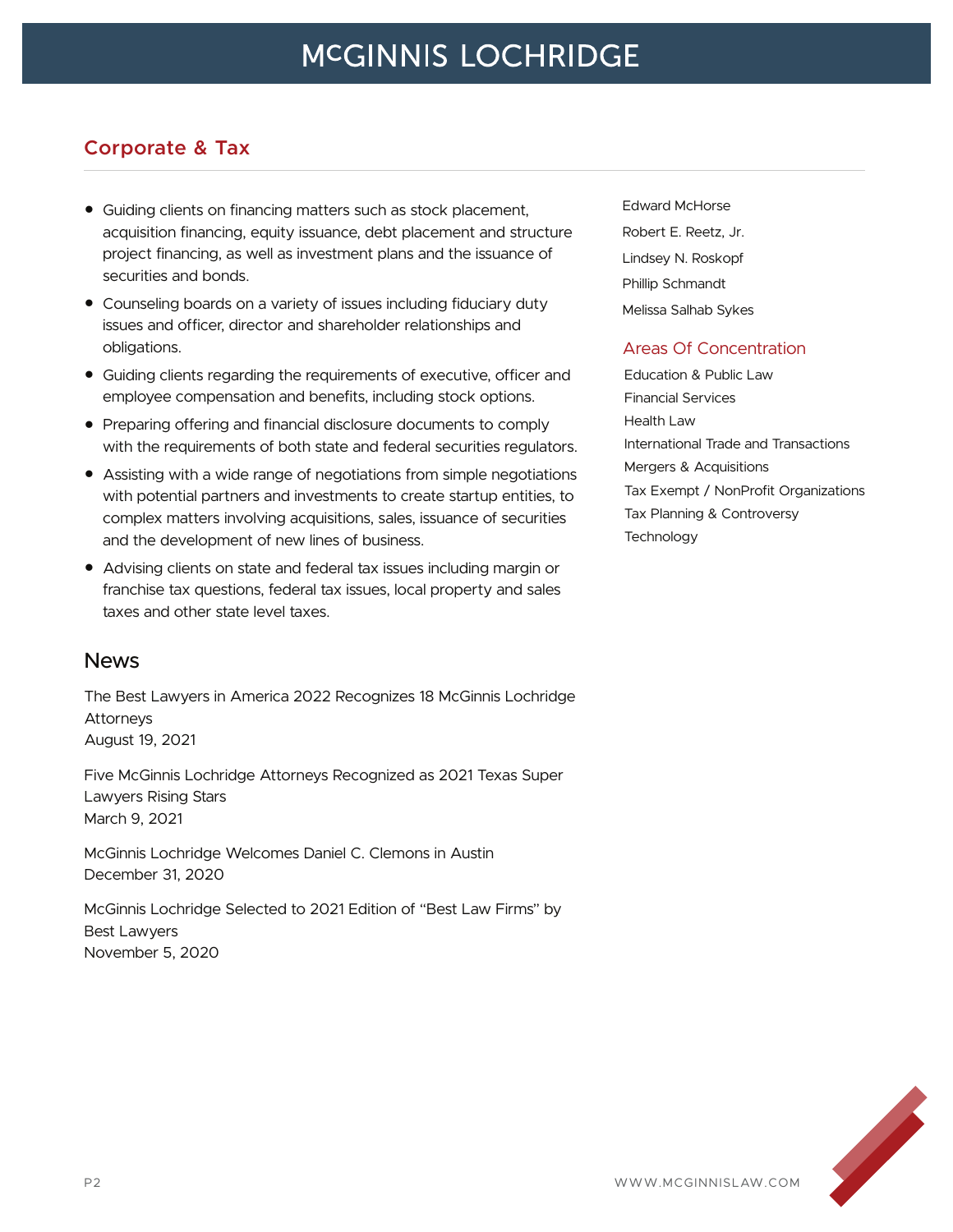## **Corporate & Tax**

- Guiding clients on financing matters such as stock placement, acquisition financing, equity issuance, debt placement and structure project financing, as well as investment plans and the issuance of securities and bonds.
- Counseling boards on a variety of issues including fiduciary duty issues and officer, director and shareholder relationships and obligations.
- Guiding clients regarding the requirements of executive, officer and employee compensation and benefits, including stock options.
- Preparing offering and financial disclosure documents to comply with the requirements of both state and federal securities regulators.
- Assisting with a wide range of negotiations from simple negotiations with potential partners and investments to create startup entities, to complex matters involving acquisitions, sales, issuance of securities and the development of new lines of business.
- Advising clients on state and federal tax issues including margin or franchise tax questions, federal tax issues, local property and sales taxes and other state level taxes.

### News

The Best Lawyers in America 2022 Recognizes 18 McGinnis Lochridge Attorneys August 19, 2021

Five McGinnis Lochridge Attorneys Recognized as 2021 Texas Super Lawyers Rising Stars March 9, 2021

McGinnis Lochridge Welcomes Daniel C. Clemons in Austin December 31, 2020

McGinnis Lochridge Selected to 2021 Edition of "Best Law Firms" by Best Lawyers November 5, 2020

Edward McHorse Robert E. Reetz, Jr. Lindsey N. Roskopf Phillip Schmandt Melissa Salhab Sykes

#### Areas Of Concentration

Education & Public Law Financial Services Health Law International Trade and Transactions Mergers & Acquisitions Tax Exempt / NonProfit Organizations Tax Planning & Controversy **Technology** 

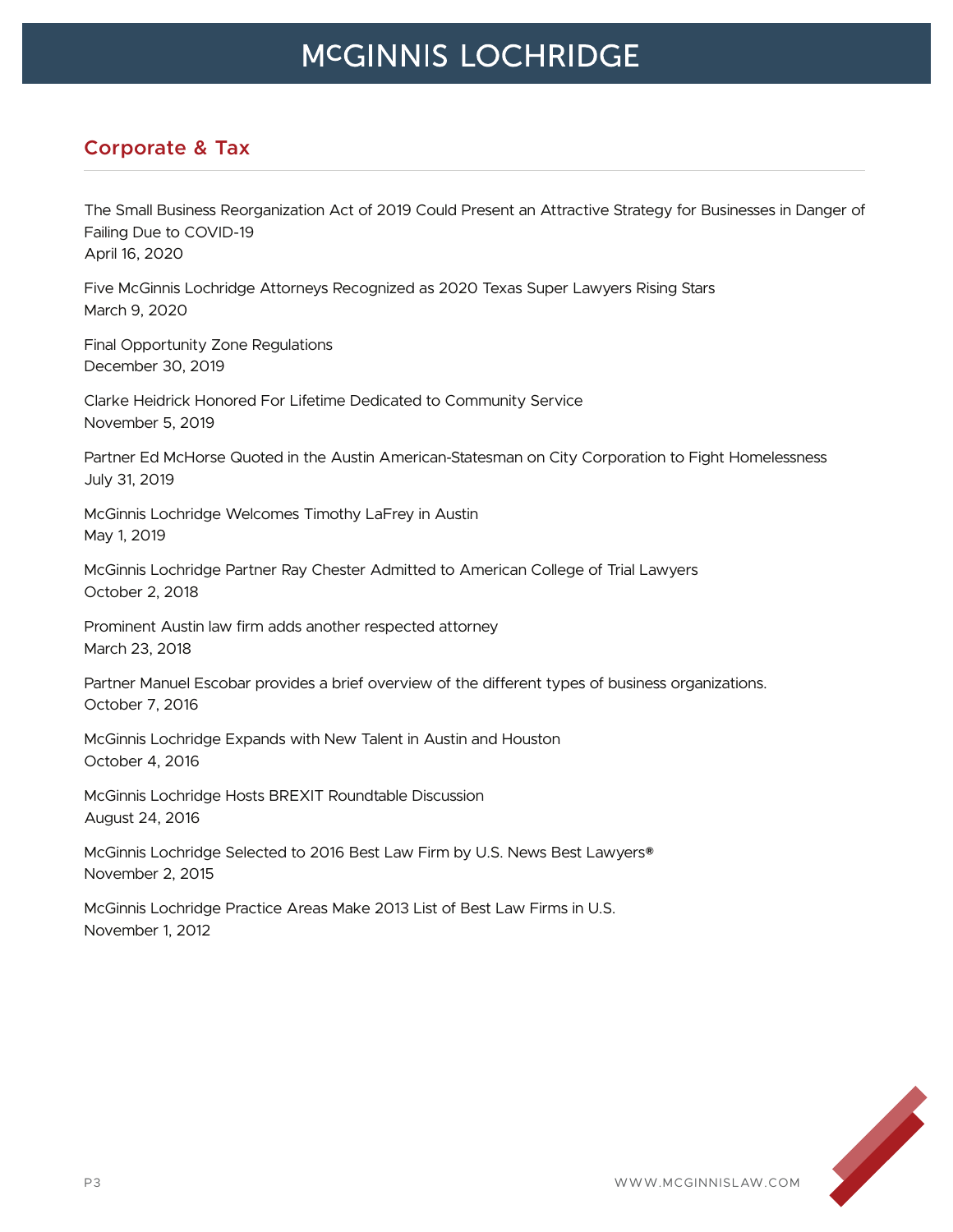# **MCGINNIS LOCHRIDGE**

### **Corporate & Tax**

The Small Business Reorganization Act of 2019 Could Present an Attractive Strategy for Businesses in Danger of Failing Due to COVID-19 April 16, 2020

Five McGinnis Lochridge Attorneys Recognized as 2020 Texas Super Lawyers Rising Stars March 9, 2020

Final Opportunity Zone Regulations December 30, 2019

Clarke Heidrick Honored For Lifetime Dedicated to Community Service November 5, 2019

Partner Ed McHorse Quoted in the Austin American-Statesman on City Corporation to Fight Homelessness July 31, 2019

McGinnis Lochridge Welcomes Timothy LaFrey in Austin May 1, 2019

McGinnis Lochridge Partner Ray Chester Admitted to American College of Trial Lawyers October 2, 2018

Prominent Austin law firm adds another respected attorney March 23, 2018

Partner Manuel Escobar provides a brief overview of the different types of business organizations. October 7, 2016

McGinnis Lochridge Expands with New Talent in Austin and Houston October 4, 2016

McGinnis Lochridge Hosts BREXIT Roundtable Discussion August 24, 2016

McGinnis Lochridge Selected to 2016 Best Law Firm by U.S. News Best Lawyers® November 2, 2015

McGinnis Lochridge Practice Areas Make 2013 List of Best Law Firms in U.S. November 1, 2012